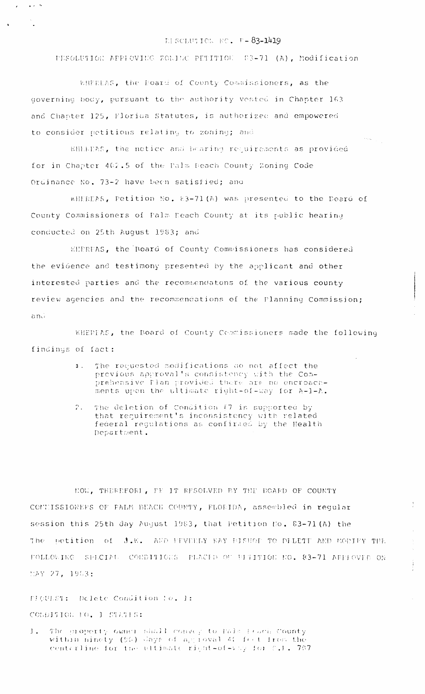## HESCLUTION NO. F-83-1419

PESOLUTION APPROVING ZONING PETITION 83-71 (A), Modification

WHEREAS, the Board of County Commissioners, as the governing body, pursuant to the authority vested in Chapter 163 and Chapter 125, Florica Statutes, is authorized and empowered to consider petitions relating to zoning; and

 $\mathbf{r}$ 

**Contract Contract** 

WHILEAS, the notice and bearing requirements as provided for in Chapter 402.5 of the Palm Beach County Zoning Code Ordinance No. 73-2 have been satisfied; and

WHEREAS, Petition No. 83-71(A) was presented to the Doard of County Commissioners of Palm Deach County at its public hearing conducted on 25th August 1983; and

WEERFAS, the Board of County Commissioners has considered the evidence and testimony presented by the applicant and other interested parties and the recommendatons of the various county review agencies and the recommendations of the Planning Commission; anú

WHEREAS, the Board of County Commissioners made the following findings of fact:

- The requested modifications do not affect the  $3.1$ previous approval's consistency with the Comprehensive flan provided there are no encroachments upon the ultimate right-of-way for A-1-A.
- The deletion of Condition #7 is supported by  $\mathcal{L}_{\bullet}$ that requirement's inconsistency with related federal regulations as confirmed by the Health Department.

NOW, THEREFORE, FE IT RESOLVED BY THE BOARD OF COUNTY COMMISSIONERS OF PALM BEACH COUNTY, FLORIDA, assembled in reqular session this 25th day August 1983, that Petition No. 83-71(A) the The petition of J.E. AND FEVERLY KAY BISHOP TO DELETE AND MODIFY THE FOLLOWING SPECIAL CONDITIONS PLACED OF FITITION NO. 83-71 AFFIOVED ON MAY 27, 1953:

÷.

FFGULST: Delete Condition To. 1:

COLDITION TO. 1 STATES:

The property owner shall convey to Pals Feach County  $1$ . within hinety (90) Jays of an ioval 40 feet from the centerline for the ultimate right-of-vay for f.L. 707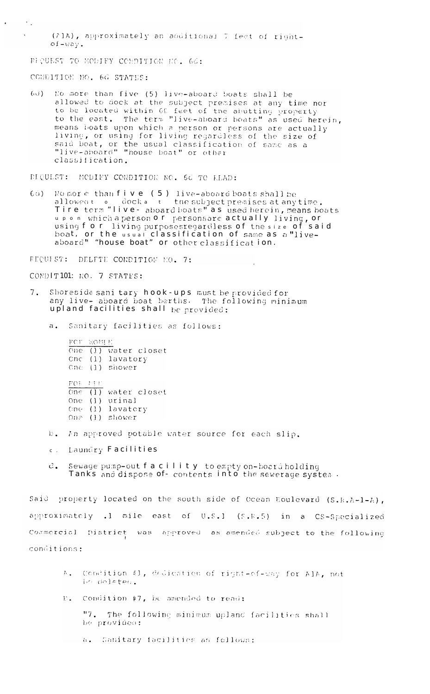(71A), approximately an additional 7 feet of right $of -wav.$ 

BIQUEST TO HODIFY CONDITION NO. 66:

CONDITION NO. 6d STATES:

 $\sigma_{\rm eff}$  $\mathcal{L}$ 

> 6d) No more than five (5) live-aboard boats shall be<br>allowed to dock at the subject premises at any time nor to be located within 60 feet of the abutting property<br>to the east. The term "live-aboard boats" as used herein,<br>means boats upon which a person or persons are actually living, or using for living regardless of the size of said boat, or the usual classification of same as a<br>"live-aboard" "house boat" or other classification.

PIQUEST: MODIFY CONDITION NO. 6d TO READ:

No more than  $f$  ive (5) live-aboard boats shall be<br>allowed:  $\circ$  dock a it the subject premises at any time.<br>Tire term "live- aboard boats" as used herein, means boats  $60<sup>o</sup>$ upon which a person or personsare actually living, or<br>using for living purposesregardless of the size of said boat, or the usual classification of same as a "liveaboard" "house boat" or other classification.

REQUEST: DELFTE CONDITION NO. 7:

CONDITION: NO. 7 STATES:

- $7.$ Shoreside sani tary hook-ups must be provided for any live- aboard boat berths. The following minimum upland facilities shall be provided:
	- Sanitary facilities as follows:  $a_{\bullet}$

FCT WOMP. One  $(l)$  water closet Cnc  $(1)$  lavatory One  $(1)$  shower  $FOF - UTI$ One  $(1)$  water closet One (1) urinal One (1) lavatory One  $(1)$  shower

- In approved potable water source for each slip.  $E -$
- Laundry Facilities  $C$ .
- Sewage pump-out f a c ility to empty on-board holding  $c_{\bullet}$ Tanks and dispose of- contents into the sewerage system.

Said property located on the south side of Ocean Boulevard (S.R.A-1-A), approximately .1 mile east of U.S.1 (S.R.5) in a CS-Specialized Commercial District was approved as amended subject to the following conditions:

- Condition #1, dedication of right-of-way for AlA, not  $\mathcal{T}_{\text{max}}$ In deleted.
- Condition #7, be amended to read:  $E_{\bullet}$

"7. The following minimum upland facilities shall be provideo:

a. Sanitary facilities as follows: